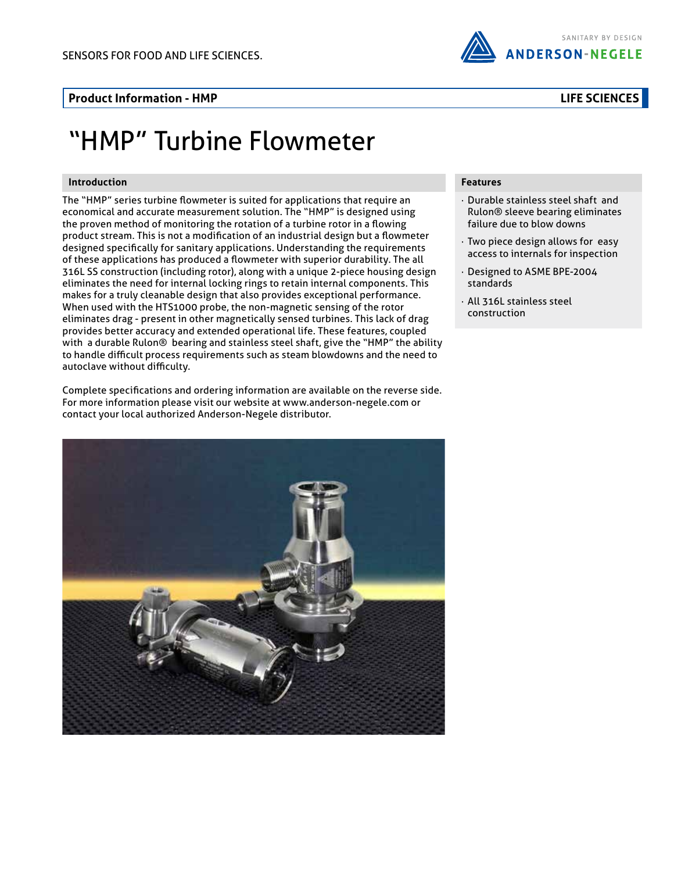#### **Product Information - HMP**

# "HMP" Turbine Flowmeter

#### **Introduction**

The "HMP" series turbine flowmeter is suited for applications that require an economical and accurate measurement solution. The "HMP" is designed using the proven method of monitoring the rotation of a turbine rotor in a flowing product stream. This is not a modification of an industrial design but a flowmeter designed specifically for sanitary applications. Understanding the requirements of these applications has produced a flowmeter with superior durability. The all 316L SS construction (including rotor), along with a unique 2-piece housing design eliminates the need for internal locking rings to retain internal components. This makes for a truly cleanable design that also provides exceptional performance. When used with the HTS1000 probe, the non-magnetic sensing of the rotor eliminates drag - present in other magnetically sensed turbines. This lack of drag provides better accuracy and extended operational life. These features, coupled with a durable Rulon® bearing and stainless steel shaft, give the "HMP" the ability to handle difficult process requirements such as steam blowdowns and the need to autoclave without difficulty.

Complete specifications and ordering information are available on the reverse side. For more information please visit our website at www.anderson-negele.com or contact your local authorized Anderson-Negele distributor.



#### **Features**

- · Durable stainless steel shaft and Rulon® sleeve bearing eliminates failure due to blow downs
- · Two piece design allows for easy access to internals for inspection
- · Designed to ASME BPE-2004 standards
- · All 316L stainless steel construction